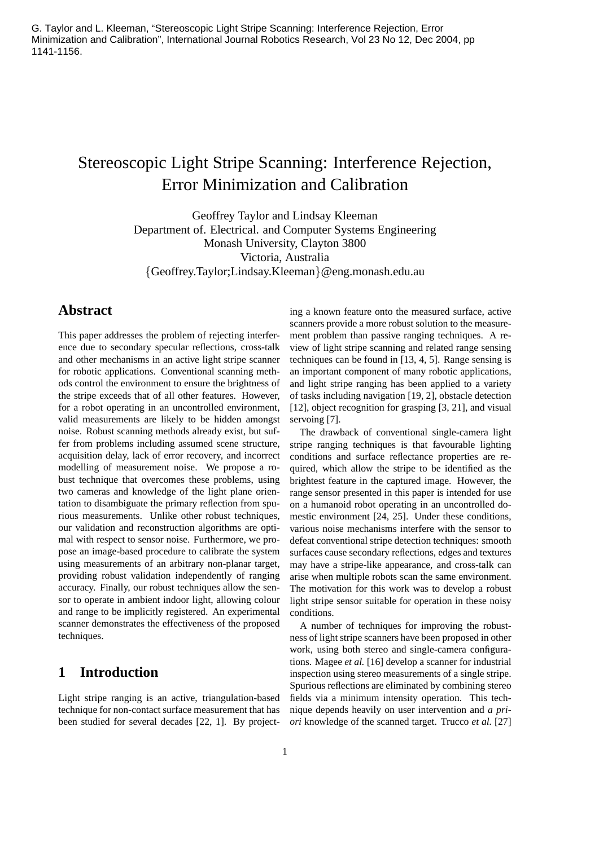G. Taylor and L. Kleeman, "Stereoscopic Light Stripe Scanning: Interference Rejection, Error Minimization and Calibration", International Journal Robotics Research, Vol 23 No 12, Dec 2004, pp 1141-1156.

# Stereoscopic Light Stripe Scanning: Interference Rejection, Error Minimization and Calibration

Geoffrey Taylor and Lindsay Kleeman Department of. Electrical. and Computer Systems Engineering Monash University, Clayton 3800 Victoria, Australia {Geoffrey.Taylor;Lindsay.Kleeman}@eng.monash.edu.au

### **Abstract**

This paper addresses the problem of rejecting interference due to secondary specular reflections, cross-talk and other mechanisms in an active light stripe scanner for robotic applications. Conventional scanning methods control the environment to ensure the brightness of the stripe exceeds that of all other features. However, for a robot operating in an uncontrolled environment, valid measurements are likely to be hidden amongst noise. Robust scanning methods already exist, but suffer from problems including assumed scene structure, acquisition delay, lack of error recovery, and incorrect modelling of measurement noise. We propose a robust technique that overcomes these problems, using two cameras and knowledge of the light plane orientation to disambiguate the primary reflection from spurious measurements. Unlike other robust techniques, our validation and reconstruction algorithms are optimal with respect to sensor noise. Furthermore, we propose an image-based procedure to calibrate the system using measurements of an arbitrary non-planar target, providing robust validation independently of ranging accuracy. Finally, our robust techniques allow the sensor to operate in ambient indoor light, allowing colour and range to be implicitly registered. An experimental scanner demonstrates the effectiveness of the proposed techniques.

# **1 Introduction**

Light stripe ranging is an active, triangulation-based technique for non-contact surface measurement that has been studied for several decades [22, 1]. By projecting a known feature onto the measured surface, active scanners provide a more robust solution to the measurement problem than passive ranging techniques. A review of light stripe scanning and related range sensing techniques can be found in [13, 4, 5]. Range sensing is an important component of many robotic applications, and light stripe ranging has been applied to a variety of tasks including navigation [19, 2], obstacle detection [12], object recognition for grasping [3, 21], and visual servoing [7].

The drawback of conventional single-camera light stripe ranging techniques is that favourable lighting conditions and surface reflectance properties are required, which allow the stripe to be identified as the brightest feature in the captured image. However, the range sensor presented in this paper is intended for use on a humanoid robot operating in an uncontrolled domestic environment [24, 25]. Under these conditions, various noise mechanisms interfere with the sensor to defeat conventional stripe detection techniques: smooth surfaces cause secondary reflections, edges and textures may have a stripe-like appearance, and cross-talk can arise when multiple robots scan the same environment. The motivation for this work was to develop a robust light stripe sensor suitable for operation in these noisy conditions.

A number of techniques for improving the robustness of light stripe scanners have been proposed in other work, using both stereo and single-camera configurations. Magee *et al.* [16] develop a scanner for industrial inspection using stereo measurements of a single stripe. Spurious reflections are eliminated by combining stereo fields via a minimum intensity operation. This technique depends heavily on user intervention and *a priori* knowledge of the scanned target. Trucco *et al.* [27]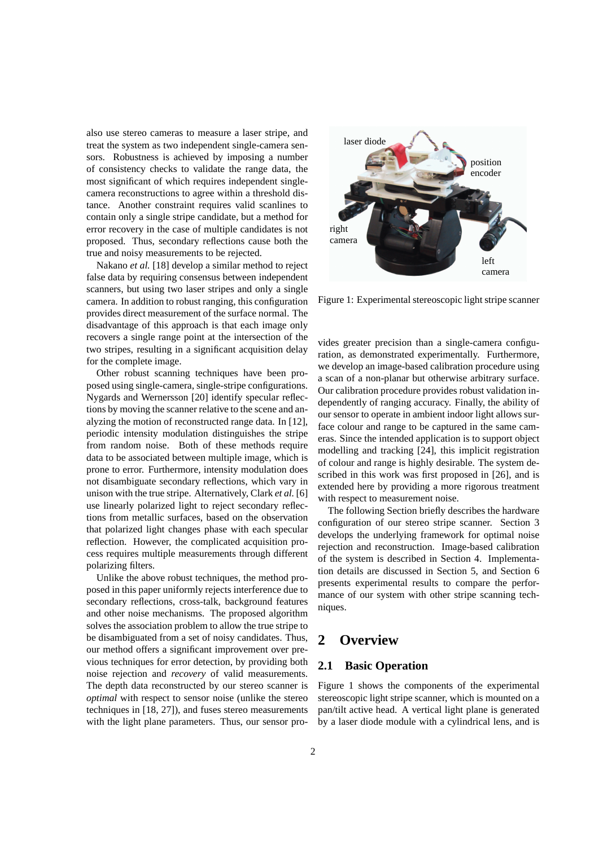also use stereo cameras to measure a laser stripe, and treat the system as two independent single-camera sensors. Robustness is achieved by imposing a number of consistency checks to validate the range data, the most significant of which requires independent singlecamera reconstructions to agree within a threshold distance. Another constraint requires valid scanlines to contain only a single stripe candidate, but a method for error recovery in the case of multiple candidates is not proposed. Thus, secondary reflections cause both the true and noisy measurements to be rejected.

Nakano *et al.* [18] develop a similar method to reject false data by requiring consensus between independent scanners, but using two laser stripes and only a single camera. In addition to robust ranging, this configuration provides direct measurement of the surface normal. The disadvantage of this approach is that each image only recovers a single range point at the intersection of the two stripes, resulting in a significant acquisition delay for the complete image.

Other robust scanning techniques have been proposed using single-camera, single-stripe configurations. Nygards and Wernersson [20] identify specular reflections by moving the scanner relative to the scene and analyzing the motion of reconstructed range data. In [12], periodic intensity modulation distinguishes the stripe from random noise. Both of these methods require data to be associated between multiple image, which is prone to error. Furthermore, intensity modulation does not disambiguate secondary reflections, which vary in unison with the true stripe. Alternatively, Clark *et al.* [6] use linearly polarized light to reject secondary reflections from metallic surfaces, based on the observation that polarized light changes phase with each specular reflection. However, the complicated acquisition process requires multiple measurements through different polarizing filters.

Unlike the above robust techniques, the method proposed in this paper uniformly rejects interference due to secondary reflections, cross-talk, background features and other noise mechanisms. The proposed algorithm solves the association problem to allow the true stripe to be disambiguated from a set of noisy candidates. Thus, our method offers a significant improvement over previous techniques for error detection, by providing both noise rejection and *recovery* of valid measurements. The depth data reconstructed by our stereo scanner is *optimal* with respect to sensor noise (unlike the stereo techniques in [18, 27]), and fuses stereo measurements with the light plane parameters. Thus, our sensor pro-



Figure 1: Experimental stereoscopic light stripe scanner

vides greater precision than a single-camera configuration, as demonstrated experimentally. Furthermore, we develop an image-based calibration procedure using a scan of a non-planar but otherwise arbitrary surface. Our calibration procedure provides robust validation independently of ranging accuracy. Finally, the ability of our sensor to operate in ambient indoor light allows surface colour and range to be captured in the same cameras. Since the intended application is to support object modelling and tracking [24], this implicit registration of colour and range is highly desirable. The system described in this work was first proposed in [26], and is extended here by providing a more rigorous treatment with respect to measurement noise.

The following Section briefly describes the hardware configuration of our stereo stripe scanner. Section 3 develops the underlying framework for optimal noise rejection and reconstruction. Image-based calibration of the system is described in Section 4. Implementation details are discussed in Section 5, and Section 6 presents experimental results to compare the performance of our system with other stripe scanning techniques.

### **2 Overview**

#### **2.1 Basic Operation**

Figure 1 shows the components of the experimental stereoscopic light stripe scanner, which is mounted on a pan/tilt active head. A vertical light plane is generated by a laser diode module with a cylindrical lens, and is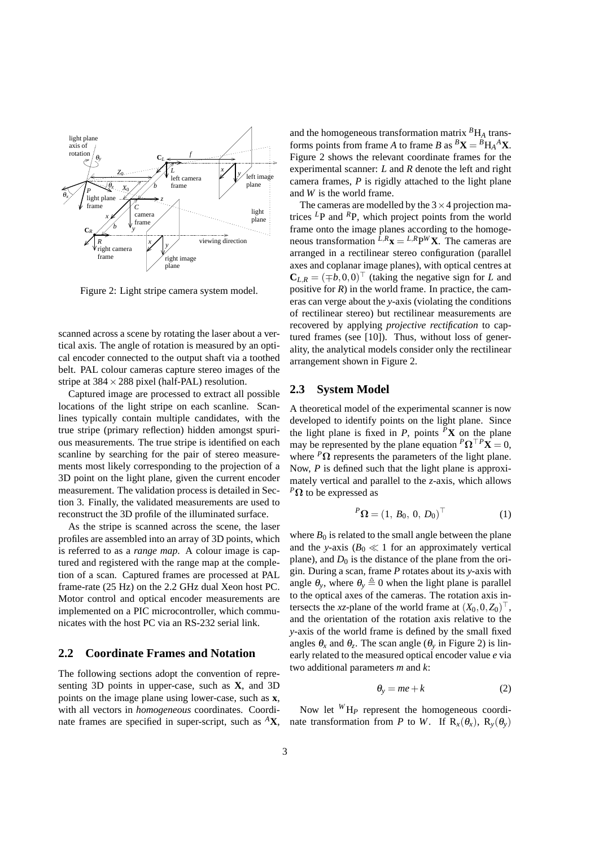

Figure 2: Light stripe camera system model.

scanned across a scene by rotating the laser about a vertical axis. The angle of rotation is measured by an optical encoder connected to the output shaft via a toothed belt. PAL colour cameras capture stereo images of the stripe at  $384 \times 288$  pixel (half-PAL) resolution.

Captured image are processed to extract all possible locations of the light stripe on each scanline. Scanlines typically contain multiple candidates, with the true stripe (primary reflection) hidden amongst spurious measurements. The true stripe is identified on each scanline by searching for the pair of stereo measurements most likely corresponding to the projection of a 3D point on the light plane, given the current encoder measurement. The validation process is detailed in Section 3. Finally, the validated measurements are used to reconstruct the 3D profile of the illuminated surface.

As the stripe is scanned across the scene, the laser profiles are assembled into an array of 3D points, which is referred to as a *range map*. A colour image is captured and registered with the range map at the completion of a scan. Captured frames are processed at PAL frame-rate (25 Hz) on the 2.2 GHz dual Xeon host PC. Motor control and optical encoder measurements are implemented on a PIC microcontroller, which communicates with the host PC via an RS-232 serial link.

#### **2.2 Coordinate Frames and Notation**

The following sections adopt the convention of representing 3D points in upper-case, such as **X**, and 3D points on the image plane using lower-case, such as **x**, with all vectors in *homogeneous* coordinates. Coordinate frames are specified in super-script, such as *<sup>A</sup>***X**, and the homogeneous transformation matrix *<sup>B</sup>*H*<sup>A</sup>* transforms points from frame *A* to frame *B* as  ${}^B$ **X** =  ${}^B$ H<sub>*A*</sub><sup>*A*</sup>**X**. Figure 2 shows the relevant coordinate frames for the experimental scanner: *L* and *R* denote the left and right camera frames, *P* is rigidly attached to the light plane and *W* is the world frame.

The cameras are modelled by the  $3 \times 4$  projection matrices *<sup>L</sup>*P and *<sup>R</sup>*P, which project points from the world frame onto the image planes according to the homogeneous transformation  $L$ <sup>*R*</sup>**x** =  $L$ <sup>*R*</sup>**P<sup>***W***</sup><b>X**. The cameras are arranged in a rectilinear stereo configuration (parallel axes and coplanar image planes), with optical centres at  $\mathbf{C}_{L,R} = (\mp b, 0, 0)^\top$  (taking the negative sign for *L* and positive for  $R$ ) in the world frame. In practice, the cameras can verge about the *y*-axis (violating the conditions of rectilinear stereo) but rectilinear measurements are recovered by applying *projective rectification* to captured frames (see [10]). Thus, without loss of generality, the analytical models consider only the rectilinear arrangement shown in Figure 2.

### **2.3 System Model**

A theoretical model of the experimental scanner is now developed to identify points on the light plane. Since the light plane is fixed in *P*, points  $P$ **X** on the plane may be represented by the plane equation  ${}^P\Omega$ <sup>T</sup> $\mathbf{P}\mathbf{X} = 0$ , where  ${}^P\Omega$  represents the parameters of the light plane. Now, *P* is defined such that the light plane is approximately vertical and parallel to the *z*-axis, which allows *P* $\Omega$  to be expressed as

$$
{}^{P}\Omega = (1, B_0, 0, D_0)^{\top}
$$
 (1)

where  $B_0$  is related to the small angle between the plane and the *y*-axis ( $B_0 \ll 1$  for an approximately vertical plane), and  $D_0$  is the distance of the plane from the origin. During a scan, frame *P* rotates about its *y*-axis with angle  $\theta_v$ , where  $\theta_v \triangleq 0$  when the light plane is parallel to the optical axes of the cameras. The rotation axis intersects the *xz*-plane of the world frame at  $(X_0, 0, Z_0)^\top$ , and the orientation of the rotation axis relative to the *y*-axis of the world frame is defined by the small fixed angles  $\theta_x$  and  $\theta_z$ . The scan angle ( $\theta_y$  in Figure 2) is linearly related to the measured optical encoder value *e* via two additional parameters *m* and *k*:

$$
\theta_{y} = me + k \tag{2}
$$

Now let  ${}^WH_P$  represent the homogeneous coordinate transformation from *P* to *W*. If  $R_r(\theta_r)$ ,  $R_v(\theta_v)$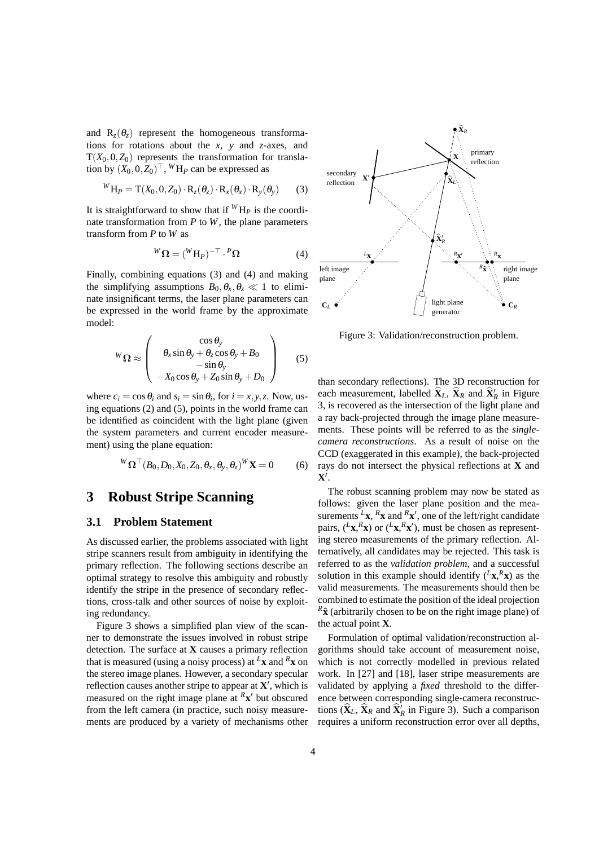and  $R_z(\theta_z)$  represent the homogeneous transformations for rotations about the *x*, *y* and *z*-axes, and  $T(X_0, 0, Z_0)$  represents the transformation for translation by  $(X_0, 0, Z_0)^\top$ ,  ${}^W H_P$  can be expressed as

$$
{}^{W}H_{P} = T(X_{0},0,Z_{0}) \cdot R_{z}(\theta_{z}) \cdot R_{x}(\theta_{x}) \cdot R_{y}(\theta_{y})
$$
 (3)

It is straightforward to show that if  $^{W}$ H<sub>P</sub> is the coordinate transformation from *P* to *W*, the plane parameters transform from *P* to *W* as

$$
{}^{W}\Omega = ({}^{W}H_{P})^{-\top} \cdot {}^{P}\Omega \tag{4}
$$

Finally, combining equations (3) and (4) and making the simplifying assumptions  $B_0$ ,  $\theta_x$ ,  $\theta_z \ll 1$  to eliminate insignificant terms, the laser plane parameters can be expressed in the world frame by the approximate model:

$$
W_{\Omega} \approx \left(\begin{array}{c} \cos \theta_{y} \\ \theta_{x} \sin \theta_{y} + \theta_{z} \cos \theta_{y} + B_{0} \\ -\sin \theta_{y} \\ -X_{0} \cos \theta_{y} + Z_{0} \sin \theta_{y} + D_{0} \end{array}\right) \qquad (5)
$$

where  $c_i = \cos \theta_i$  and  $s_i = \sin \theta_i$ , for  $i = x, y, z$ . Now, using equations (2) and (5), points in the world frame can be identified as coincident with the light plane (given the system parameters and current encoder measurement) using the plane equation:

$$
{}^{W}\Omega^{\top}(B_0, D_0, X_0, Z_0, \theta_x, \theta_y, \theta_z)^W\mathbf{X} = 0 \tag{6}
$$

### **3 Robust Stripe Scanning**

### **3.1 Problem Statement**

As discussed earlier, the problems associated with light stripe scanners result from ambiguity in identifying the primary reflection. The following sections describe an optimal strategy to resolve this ambiguity and robustly identify the stripe in the presence of secondary reflections, cross-talk and other sources of noise by exploiting redundancy.

Figure 3 shows a simplified plan view of the scanner to demonstrate the issues involved in robust stripe detection. The surface at **X** causes a primary reflection that is measured (using a noisy process) at *<sup>L</sup>***x** and *<sup>R</sup>***x** on the stereo image planes. However, a secondary specular reflection causes another stripe to appear at  $X'$ , which is measured on the right image plane at <sup>*R*</sup>**x**<sup>*'*</sup> but obscured from the left camera (in practice, such noisy measurements are produced by a variety of mechanisms other



Figure 3: Validation/reconstruction problem.

than secondary reflections). The 3D reconstruction for each measurement, labelled  $\hat{\mathbf{X}}_L$ ,  $\hat{\mathbf{X}}_R$  and  $\hat{\mathbf{X}}_R'$  in Figure 3, is recovered as the intersection of the light plane and a ray back-projected through the image plane measurements. These points will be referred to as the *singlecamera reconstructions*. As a result of noise on the CCD (exaggerated in this example), the back-projected rays do not intersect the physical reflections at **X** and **X'**.

The robust scanning problem may now be stated as follows: given the laser plane position and the measurements  $L$ **x**,  $R$ **x** and  $R$ **x**<sup> $\prime$ </sup>, one of the left/right candidate pairs,  $({}^L\mathbf{x}, {}^R\mathbf{x})$  or  $({}^L\mathbf{x}, {}^R\mathbf{x}')$ , must be chosen as representing stereo measurements of the primary reflection. Alternatively, all candidates may be rejected. This task is referred to as the *validation problem*, and a successful solution in this example should identify  $({}^{L}\mathbf{x}, {}^{R}\mathbf{x})$  as the valid measurements. The measurements should then be combined to estimate the position of the ideal projection *<sup>R</sup>***xˆ** (arbitrarily chosen to be on the right image plane) of the actual point **X**.

Formulation of optimal validation/reconstruction algorithms should take account of measurement noise, which is not correctly modelled in previous related work. In [27] and [18], laser stripe measurements are validated by applying a *fixed* threshold to the difference between corresponding single-camera reconstructions  $(\hat{\mathbf{X}}_L, \hat{\mathbf{X}}_R$  and  $\hat{\mathbf{X}}_R^t$  in Figure 3). Such a comparison requires a uniform reconstruction error over all depths,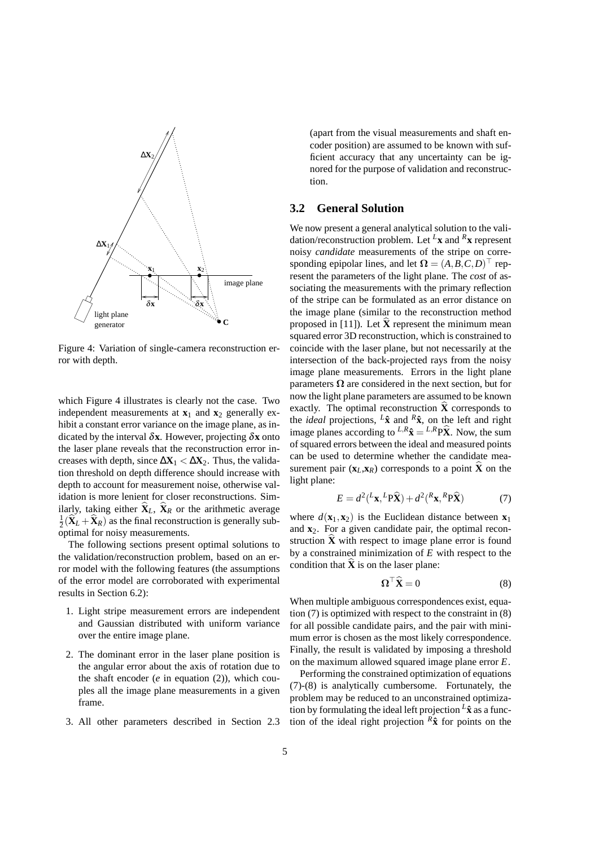

Figure 4: Variation of single-camera reconstruction error with depth.

which Figure 4 illustrates is clearly not the case. Two independent measurements at  $\mathbf{x}_1$  and  $\mathbf{x}_2$  generally exhibit a constant error variance on the image plane, as indicated by the interval  $\delta$ **x**. However, projecting  $\delta$ **x** onto the laser plane reveals that the reconstruction error increases with depth, since  $\Delta X_1 < \Delta X_2$ . Thus, the validation threshold on depth difference should increase with depth to account for measurement noise, otherwise validation is more lenient for closer reconstructions. Similarly, taking either  $\hat{\mathbf{X}}_L$ ,  $\hat{\mathbf{X}}_R$  or the arithmetic average  $\frac{1}{2}(\hat{\mathbf{X}}_L + \hat{\mathbf{X}}_R)$  as the final reconstruction is generally suboptimal for noisy measurements.

The following sections present optimal solutions to the validation/reconstruction problem, based on an error model with the following features (the assumptions of the error model are corroborated with experimental results in Section 6.2):

- 1. Light stripe measurement errors are independent and Gaussian distributed with uniform variance over the entire image plane.
- 2. The dominant error in the laser plane position is the angular error about the axis of rotation due to the shaft encoder (*e* in equation (2)), which couples all the image plane measurements in a given frame.
- 3. All other parameters described in Section 2.3

(apart from the visual measurements and shaft encoder position) are assumed to be known with sufficient accuracy that any uncertainty can be ignored for the purpose of validation and reconstruction.

#### **3.2 General Solution**

We now present a general analytical solution to the validation/reconstruction problem. Let <sup>L</sup>**x** and <sup>R</sup>**x** represent noisy *candidate* measurements of the stripe on corresponding epipolar lines, and let  $\Omega = (A, B, C, D)^{\top}$  represent the parameters of the light plane. The *cost* of associating the measurements with the primary reflection of the stripe can be formulated as an error distance on the image plane (similar to the reconstruction method proposed in [11]). Let  $\hat{\mathbf{X}}$  represent the minimum mean squared error 3D reconstruction, which is constrained to coincide with the laser plane, but not necessarily at the intersection of the back-projected rays from the noisy image plane measurements. Errors in the light plane parameters  $\Omega$  are considered in the next section, but for now the light plane parameters are assumed to be known exactly. The optimal reconstruction  $\hat{\mathbf{X}}$  corresponds to the *ideal* projections,  $L\hat{\mathbf{x}}$  and  $R\hat{\mathbf{x}}$ , on the left and right image planes according to  $L, R\hat{\mathbf{x}} = L, R\hat{P}\hat{\mathbf{X}}$ . Now, the sum of squared errors between the ideal and measured points can be used to determine whether the candidate measurement pair  $(\mathbf{x}_L, \mathbf{x}_R)$  corresponds to a point  $\hat{\mathbf{X}}$  on the light plane:

$$
E = d^2(\mathbf{L}_\mathbf{X}, {}^L \mathbf{P} \widehat{\mathbf{X}}) + d^2(\mathbf{R}_\mathbf{X}, {}^R \mathbf{P} \widehat{\mathbf{X}})
$$
(7)

where  $d(\mathbf{x}_1, \mathbf{x}_2)$  is the Euclidean distance between  $\mathbf{x}_1$ and  $\mathbf{x}_2$ . For a given candidate pair, the optimal reconstruction  $\bf{X}$  with respect to image plane error is found by a constrained minimization of *E* with respect to the condition that  $\hat{\mathbf{X}}$  is on the laser plane:

$$
\Omega^{\top}\hat{\mathbf{X}} = 0 \tag{8}
$$

When multiple ambiguous correspondences exist, equation (7) is optimized with respect to the constraint in (8) for all possible candidate pairs, and the pair with minimum error is chosen as the most likely correspondence. Finally, the result is validated by imposing a threshold on the maximum allowed squared image plane error *E*.

Performing the constrained optimization of equations (7)-(8) is analytically cumbersome. Fortunately, the problem may be reduced to an unconstrained optimization by formulating the ideal left projection  $L\hat{\mathbf{x}}$  as a function of the ideal right projection  $R\hat{\mathbf{x}}$  for points on the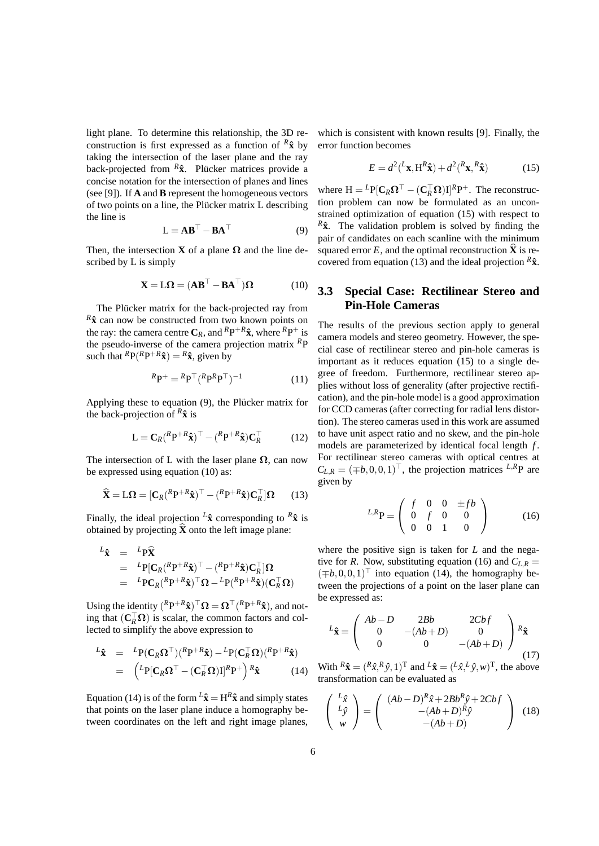light plane. To determine this relationship, the 3D reconstruction is first expressed as a function of  $^R$ **x** by taking the intersection of the laser plane and the ray back-projected from  $\mathbb{R}\hat{\mathbf{x}}$ . Plucker matrices provide a concise notation for the intersection of planes and lines (see [9]). If **A** and **B** represent the homogeneous vectors of two points on a line, the Plücker matrix  $L$  describing the line is

$$
\mathbf{L} = \mathbf{A}\mathbf{B}^{\top} - \mathbf{B}\mathbf{A}^{\top} \tag{9}
$$

Then, the intersection **X** of a plane  $\Omega$  and the line described by L is simply

$$
\mathbf{X} = \mathbf{L}\mathbf{\Omega} = (\mathbf{A}\mathbf{B}^{\top} - \mathbf{B}\mathbf{A}^{\top})\mathbf{\Omega}
$$
 (10)

The Plücker matrix for the back-projected ray from *<sup>R</sup>***xˆ** can now be constructed from two known points on the ray: the camera centre  $\mathbf{C}_R$ , and  ${}^R\mathrm{P}^{+R}\mathbf{\hat{x}}$ , where  ${}^R\mathrm{P}^{+}$  is the pseudo-inverse of the camera projection matrix *<sup>R</sup>*P such that  ${}^R P({}^R P^{+R} \hat{x}) = {}^R \hat{x}$ , given by

$$
{}^{R}\mathbf{P}^{+} = {}^{R}\mathbf{P}^{\top} ({}^{R}\mathbf{P}^{R}\mathbf{P}^{\top})^{-1}
$$
 (11)

Applying these to equation (9), the Plücker matrix for the back-projection of  $^R$ **x** is

$$
\mathbf{L} = \mathbf{C}_R (^R \mathbf{P}^{+R} \hat{\mathbf{x}})^{\top} - (^R \mathbf{P}^{+R} \hat{\mathbf{x}}) \mathbf{C}_R^{\top} \tag{12}
$$

The intersection of L with the laser plane  $\Omega$ , can now be expressed using equation (10) as:

$$
\widehat{\mathbf{X}} = \mathbf{L}\Omega = [\mathbf{C}_R (^R \mathbf{P}^{+R} \widehat{\mathbf{x}})^{\top} - (^R \mathbf{P}^{+R} \widehat{\mathbf{x}}) \mathbf{C}_R^{\top}] \Omega \qquad (13)
$$

Finally, the ideal projection  $L\hat{\mathbf{x}}$  corresponding to  $R\hat{\mathbf{x}}$  is obtained by projecting  $X$  onto the left image plane:

$$
\begin{array}{rcl}\nL_{\hat{\mathbf{X}}} & = & {}^{L}P\hat{\mathbf{X}} \\
& = & {}^{L}P[C_{R}({}^{R}P^{+R}\hat{\mathbf{x}})^{\top} - ({}^{R}P^{+R}\hat{\mathbf{x}})C_{R}^{\top}]\Omega \\
& = & {}^{L}P C_{R}({}^{R}P^{+R}\hat{\mathbf{x}})^{\top}\Omega - {}^{L}P({}^{R}P^{+R}\hat{\mathbf{x}})(C_{R}^{\top}\Omega)\n\end{array}
$$

Using the identity  $({}^R P^{+R} \hat{\mathbf{x}})^\top \Omega = \Omega^\top ({}^R P^{+R} \hat{\mathbf{x}})$ , and noting that  $(C_R^{\top}\Omega)$  is scalar, the common factors and collected to simplify the above expression to

$$
L_{\hat{\mathbf{X}}} = L_{\mathbf{P}(\mathbf{C}_R \mathbf{\Omega}^{\top})}({}^{R}\mathbf{P}^{+R}\hat{\mathbf{x}}) - L_{\mathbf{P}(\mathbf{C}_R^{\top}\mathbf{\Omega})}({}^{R}\mathbf{P}^{+R}\hat{\mathbf{x}})
$$
  
= 
$$
(L_{\mathbf{P}[\mathbf{C}_R \mathbf{\Omega}^{\top} - (\mathbf{C}_R^{\top}\mathbf{\Omega})I]^{R}\mathbf{P}^{+})^{R}\hat{\mathbf{x}}}
$$
(14)

Equation (14) is of the form  $L\hat{\mathbf{x}} = \mathbf{H}^R\hat{\mathbf{x}}$  and simply states that points on the laser plane induce a homography between coordinates on the left and right image planes, which is consistent with known results [9]. Finally, the error function becomes

$$
E = d^2(\mathbf{L}\mathbf{x}, \mathbf{H}^R\hat{\mathbf{x}}) + d^2(\mathbf{R}\mathbf{x}, \mathbf{R}\hat{\mathbf{x}})
$$
 (15)

where  $H = {}^{L}P[\mathbf{C}_R\Omega^{\top} - (\mathbf{C}_R^{\top}\Omega)I]^R P^+$ . The reconstruction problem can now be formulated as an unconstrained optimization of equation (15) with respect to  $R\hat{\mathbf{x}}$ . The validation problem is solved by finding the pair of candidates on each scanline with the minimum squared error  $E$ , and the optimal reconstruction  $X$  is recovered from equation (13) and the ideal projection  $R\hat{\mathbf{x}}$ .

### **3.3 Special Case: Rectilinear Stereo and Pin-Hole Cameras**

The results of the previous section apply to general camera models and stereo geometry. However, the special case of rectilinear stereo and pin-hole cameras is important as it reduces equation (15) to a single degree of freedom. Furthermore, rectilinear stereo applies without loss of generality (after projective rectification), and the pin-hole model is a good approximation for CCD cameras (after correcting for radial lens distortion). The stereo cameras used in this work are assumed to have unit aspect ratio and no skew, and the pin-hole models are parameterized by identical focal length *f* . For rectilinear stereo cameras with optical centres at  $C_{L,R} = (\mp b, 0, 0, 1)^\top$ , the projection matrices *L*,*R*P are given by

$$
L, R_{\mathbf{P}} = \left( \begin{array}{ccc} f & 0 & 0 & \pm f b \\ 0 & f & 0 & 0 \\ 0 & 0 & 1 & 0 \end{array} \right) \tag{16}
$$

where the positive sign is taken for *L* and the negative for *R*. Now, substituting equation (16) and  $C_{L,R}$  =  $(≡b, 0, 0, 1)$ <sup>⊤</sup> into equation (14), the homography between the projections of a point on the laser plane can be expressed as:

$$
L\hat{\mathbf{x}} = \begin{pmatrix} Ab - D & 2Bb & 2Cbf \\ 0 & -(Ab + D) & 0 \\ 0 & 0 & -(Ab + D) \end{pmatrix} R\hat{\mathbf{x}} \tag{17}
$$

With  $^R$ **x**̂ =  $(^R \hat{x}, ^R \hat{y}, 1)^T$  and  $^L$ **x**̂ =  $(^L \hat{x}, ^L \hat{y}, w)^T$ , the above transformation can be evaluated as

$$
\begin{pmatrix} L_{\hat{X}} \\ L_{\hat{Y}} \\ w \end{pmatrix} = \begin{pmatrix} (Ab - D)^R \hat{x} + 2Bb^R \hat{y} + 2Cbf \\ -(Ab + D)^R \hat{y} \\ -(Ab + D) \end{pmatrix}
$$
(18)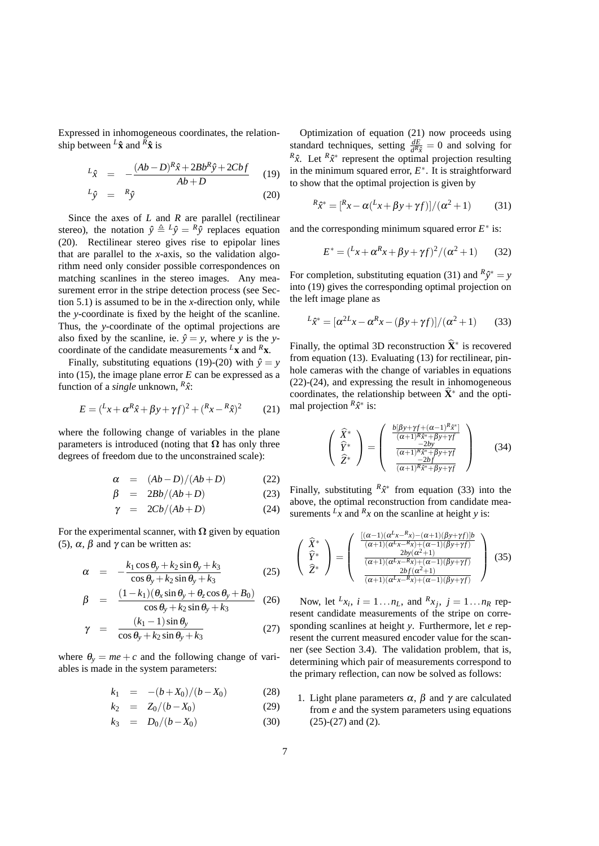Expressed in inhomogeneous coordinates, the relationship between  $^L\hat{\mathbf{x}}$  and  $^{\bar{R}}\hat{\mathbf{x}}$  is

$$
L_{\hat{X}} = -\frac{(Ab-D)^R \hat{x} + 2Bb^R \hat{y} + 2Cbf}{Ab+D}
$$
 (19)

$$
L_{\hat{y}} = R_{\hat{y}} \tag{20}
$$

Since the axes of *L* and *R* are parallel (rectilinear stereo), the notation  $\hat{y} \triangleq L\hat{y} = R\hat{y}$  replaces equation (20). Rectilinear stereo gives rise to epipolar lines that are parallel to the *x*-axis, so the validation algorithm need only consider possible correspondences on matching scanlines in the stereo images. Any measurement error in the stripe detection process (see Section 5.1) is assumed to be in the *x*-direction only, while the *y*-coordinate is fixed by the height of the scanline. Thus, the *y*-coordinate of the optimal projections are also fixed by the scanline, ie.  $\hat{v} = v$ , where *v* is the *y*coordinate of the candidate measurements  $L$ **x** and  $R$ **x**.

Finally, substituting equations (19)-(20) with  $\hat{y} = y$ into (15), the image plane error *E* can be expressed as a function of a *single* unknown, *<sup>R</sup> x*ˆ:

$$
E = ({}^{L}x + \alpha^{R}\hat{x} + \beta y + \gamma f)^{2} + ({}^{R}x - {}^{R}\hat{x})^{2}
$$
 (21)

where the following change of variables in the plane parameters is introduced (noting that  $\Omega$  has only three degrees of freedom due to the unconstrained scale):

$$
\alpha = (Ab - D)/(Ab + D) \tag{22}
$$

$$
\beta = 2Bb/(Ab+D) \tag{23}
$$

$$
\gamma = 2Cb/(Ab+D) \tag{24}
$$

For the experimental scanner, with  $\Omega$  given by equation (5),  $\alpha$ ,  $\beta$  and  $\gamma$  can be written as:

$$
\alpha = -\frac{k_1 \cos \theta_y + k_2 \sin \theta_y + k_3}{\cos \theta_y + k_2 \sin \theta_y + k_3}
$$
(25)

$$
\beta = \frac{(1-k_1)(\theta_x \sin \theta_y + \theta_z \cos \theta_y + B_0)}{\cos \theta_y + k_2 \sin \theta_y + k_3}
$$
 (26)

$$
\gamma = \frac{(k_1 - 1)\sin\theta_y}{\cos\theta_y + k_2 \sin\theta_y + k_3}
$$
 (27)

where  $\theta_y = me + c$  and the following change of variables is made in the system parameters:

$$
k_1 = -(b+X_0)/(b-X_0) \tag{28}
$$

$$
k_2 = Z_0/(b - X_0) \tag{29}
$$

$$
k_3 = D_0/(b - X_0) \tag{30}
$$

Optimization of equation (21) now proceeds using standard techniques, setting  $\frac{dE}{d^R \hat{x}} = 0$  and solving for *R* $\hat{x}$ . Let  $R\hat{x}^*$  represent the optimal projection resulting in the minimum squared error,  $E^*$ . It is straightforward to show that the optimal projection is given by

$$
{}^{R}\hat{x}^* = [{}^{R}x - \alpha ({}^{L}x + \beta y + \gamma f)]/(\alpha^2 + 1)
$$
 (31)

and the corresponding minimum squared error  $E^*$  is:

$$
E^* = ({}^L x + \alpha^R x + \beta y + \gamma f)^2 / (\alpha^2 + 1)
$$
 (32)

For completion, substituting equation (31) and  $R\hat{y}^* = y$ into (19) gives the corresponding optimal projection on the left image plane as

$$
L\hat{x}^* = [\alpha^{2L}x - \alpha^R x - (\beta y + \gamma f)]/(\alpha^2 + 1)
$$
 (33)

Finally, the optimal 3D reconstruction  $\hat{\mathbf{X}}^*$  is recovered from equation (13). Evaluating (13) for rectilinear, pinhole cameras with the change of variables in equations (22)-(24), and expressing the result in inhomogeneous coordinates, the relationship between  $\hat{\mathbf{X}}^*$  and the optimal projection  ${}^R \hat{x}^*$  is:

$$
\begin{pmatrix}\n\widehat{X}^* \\
\widehat{Y}^* \\
\widehat{Z}^*\n\end{pmatrix} = \begin{pmatrix}\n\frac{b[\beta y + \gamma f + (\alpha - 1)^R \widehat{x}^*]}{(\alpha + 1)^R \widehat{x}^* + \beta y + \gamma f} \\
\frac{-2by}{(\alpha + 1)^R \widehat{x}^* + \beta y + \gamma f} \\
\frac{-2bf}{(\alpha + 1)^R \widehat{x}^* + \beta y + \gamma f}\n\end{pmatrix}
$$
\n(34)

Finally, substituting  $R\hat{x}^*$  from equation (33) into the above, the optimal reconstruction from candidate measurements  $L_x$  and  $R_x$  on the scanline at height *y* is:

$$
\begin{pmatrix}\n\widehat{X}^* \\
\widehat{Y}^* \\
\widehat{Z}^*\n\end{pmatrix} = \begin{pmatrix}\n\frac{\left[ (\alpha-1)(\alpha^L x - R_x) - (\alpha+1)(\beta y + \gamma f) \right] b}{(\alpha+1)(\alpha^L x - R_x) + (\alpha-1)(\beta y + \gamma f)} \\
\frac{2by(\alpha^2+1)}{(\alpha+1)(\alpha^L x - R_x) + (\alpha-1)(\beta y + \gamma f)} \\
\frac{2bf(\alpha^2+1)}{(\alpha+1)(\alpha^L x - R_x) + (\alpha-1)(\beta y + \gamma f)}\n\end{pmatrix}
$$
\n(35)

Now, let  $L_{x_i}$ ,  $i = 1...n_L$ , and  $R_{x_j}$ ,  $j = 1...n_R$  represent candidate measurements of the stripe on corresponding scanlines at height *y*. Furthermore, let *e* represent the current measured encoder value for the scanner (see Section 3.4). The validation problem, that is, determining which pair of measurements correspond to the primary reflection, can now be solved as follows:

1. Light plane parameters  $\alpha$ ,  $\beta$  and  $\gamma$  are calculated from *e* and the system parameters using equations (25)-(27) and (2).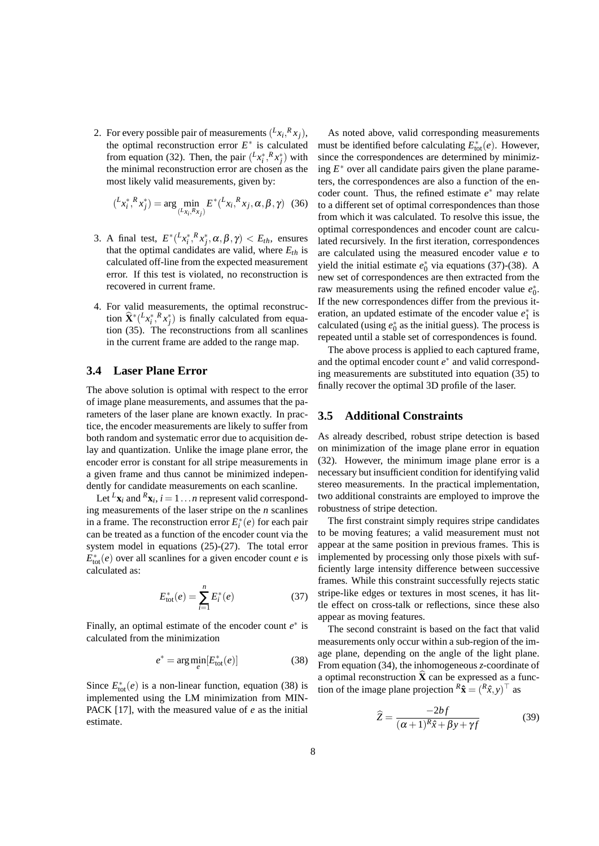2. For every possible pair of measurements  $(Lx_i, Rx_j)$ , the optimal reconstruction error  $E^*$  is calculated from equation (32). Then, the pair  $\left( \frac{L}{i}, \frac{R}{i}, \frac{R}{j} \right)$  with the minimal reconstruction error are chosen as the most likely valid measurements, given by:

$$
({}^{L}x_{i}^{*}, {}^{R}x_{j}^{*}) = \arg\min_{({}^{L}x_{i}, {}^{R}x_{j})} E^{*}({}^{L}x_{i}, {}^{R}x_{j}, \alpha, \beta, \gamma) \tag{36}
$$

- 3. A final test,  $E^*(Lx_i^*, Rx_j^*, \alpha, \beta, \gamma) < E_{th}$ , ensures that the optimal candidates are valid, where  $E_{th}$  is calculated off-line from the expected measurement error. If this test is violated, no reconstruction is recovered in current frame.
- 4. For valid measurements, the optimal reconstruction  $\hat{\mathbf{X}}^*(L_{i}, R_{i}^* )$  is finally calculated from equation (35). The reconstructions from all scanlines in the current frame are added to the range map.

### **3.4 Laser Plane Error**

The above solution is optimal with respect to the error of image plane measurements, and assumes that the parameters of the laser plane are known exactly. In practice, the encoder measurements are likely to suffer from both random and systematic error due to acquisition delay and quantization. Unlike the image plane error, the encoder error is constant for all stripe measurements in a given frame and thus cannot be minimized independently for candidate measurements on each scanline.

Let  ${}^L\mathbf{x}_i$  and  ${}^R\mathbf{x}_i$ ,  $i = 1 \dots n$  represent valid corresponding measurements of the laser stripe on the *n* scanlines in a frame. The reconstruction error  $E_i^*(e)$  for each pair can be treated as a function of the encoder count via the system model in equations (25)-(27). The total error  $E_{\text{tot}}^*(e)$  over all scanlines for a given encoder count *e* is calculated as:

$$
E_{\text{tot}}^*(e) = \sum_{i=1}^n E_i^*(e)
$$
 (37)

Finally, an optimal estimate of the encoder count  $e^*$  is calculated from the minimization

$$
e^* = \arg\min_{e} [E_{\text{tot}}^*(e)] \tag{38}
$$

Since  $E_{\text{tot}}^*(e)$  is a non-linear function, equation (38) is implemented using the LM minimization from MIN-PACK [17], with the measured value of *e* as the initial estimate.

As noted above, valid corresponding measurements must be identified before calculating  $E_{\text{tot}}^*(e)$ . However, since the correspondences are determined by minimizing  $E^*$  over all candidate pairs given the plane parameters, the correspondences are also a function of the encoder count. Thus, the refined estimate  $e^*$  may relate to a different set of optimal correspondences than those from which it was calculated. To resolve this issue, the optimal correspondences and encoder count are calculated recursively. In the first iteration, correspondences are calculated using the measured encoder value *e* to yield the initial estimate  $e_0^*$  via equations (37)-(38). A new set of correspondences are then extracted from the raw measurements using the refined encoder value  $e_0^*$ . If the new correspondences differ from the previous iteration, an updated estimate of the encoder value  $e_1^*$  is calculated (using  $e_0^*$  as the initial guess). The process is repeated until a stable set of correspondences is found.

The above process is applied to each captured frame, and the optimal encoder count  $e^*$  and valid corresponding measurements are substituted into equation (35) to finally recover the optimal 3D profile of the laser.

#### **3.5 Additional Constraints**

As already described, robust stripe detection is based on minimization of the image plane error in equation (32). However, the minimum image plane error is a necessary but insufficient condition for identifying valid stereo measurements. In the practical implementation, two additional constraints are employed to improve the robustness of stripe detection.

The first constraint simply requires stripe candidates to be moving features; a valid measurement must not appear at the same position in previous frames. This is implemented by processing only those pixels with sufficiently large intensity difference between successive frames. While this constraint successfully rejects static stripe-like edges or textures in most scenes, it has little effect on cross-talk or reflections, since these also appear as moving features.

The second constraint is based on the fact that valid measurements only occur within a sub-region of the image plane, depending on the angle of the light plane. From equation (34), the inhomogeneous *z*-coordinate of a optimal reconstruction  $\hat{\mathbf{X}}$  can be expressed as a function of the image plane projection  ${}^R \hat{\mathbf{x}} = ({}^R \hat{x}, y)^\top$  as

$$
\widehat{Z} = \frac{-2bf}{(\alpha + 1)^R \widehat{x} + \beta y + \gamma f} \tag{39}
$$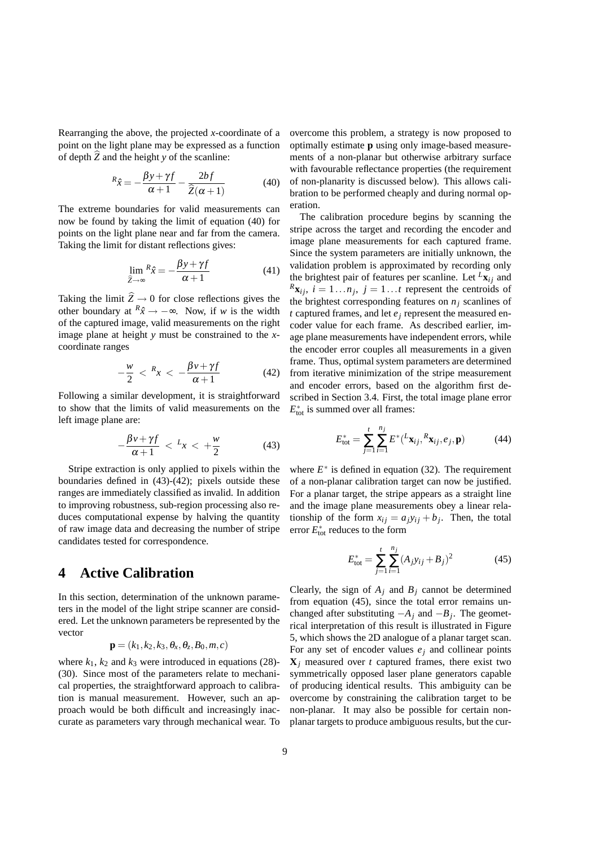Rearranging the above, the projected *x*-coordinate of a point on the light plane may be expressed as a function of depth  $\hat{Z}$  and the height *y* of the scanline:

$$
R_{\hat{X}} = -\frac{\beta y + \gamma f}{\alpha + 1} - \frac{2bf}{\hat{Z}(\alpha + 1)}
$$
(40)

The extreme boundaries for valid measurements can now be found by taking the limit of equation (40) for points on the light plane near and far from the camera. Taking the limit for distant reflections gives:

$$
\lim_{\hat{Z}\to\infty}{}^{R}\hat{x} = -\frac{\beta y + \gamma f}{\alpha + 1} \tag{41}
$$

Taking the limit  $\hat{Z} \rightarrow 0$  for close reflections gives the other boundary at  $^R \hat{x} \rightarrow -\infty$ . Now, if *w* is the width of the captured image, valid measurements on the right image plane at height *y* must be constrained to the *x*coordinate ranges

$$
-\frac{w}{2} < \,^R x < -\frac{\beta v + \gamma f}{\alpha + 1} \tag{42}
$$

Following a similar development, it is straightforward to show that the limits of valid measurements on the left image plane are:

$$
-\frac{\beta v + \gamma f}{\alpha + 1} < \frac{L_x}{\alpha} < +\frac{w}{2} \tag{43}
$$

Stripe extraction is only applied to pixels within the boundaries defined in (43)-(42); pixels outside these ranges are immediately classified as invalid. In addition to improving robustness, sub-region processing also reduces computational expense by halving the quantity of raw image data and decreasing the number of stripe candidates tested for correspondence.

### **4 Active Calibration**

In this section, determination of the unknown parameters in the model of the light stripe scanner are considered. Let the unknown parameters be represented by the vector

$$
\mathbf{p}=(k_1,k_2,k_3,\theta_x,\theta_z,B_0,m,c)
$$

where  $k_1$ ,  $k_2$  and  $k_3$  were introduced in equations (28)-(30). Since most of the parameters relate to mechanical properties, the straightforward approach to calibration is manual measurement. However, such an approach would be both difficult and increasingly inaccurate as parameters vary through mechanical wear. To

overcome this problem, a strategy is now proposed to optimally estimate **p** using only image-based measurements of a non-planar but otherwise arbitrary surface with favourable reflectance properties (the requirement of non-planarity is discussed below). This allows calibration to be performed cheaply and during normal operation.

The calibration procedure begins by scanning the stripe across the target and recording the encoder and image plane measurements for each captured frame. Since the system parameters are initially unknown, the validation problem is approximated by recording only the brightest pair of features per scanline. Let  $L_{\mathbf{X}_{ij}}$  and  $R_{\mathbf{X}_i}$ ,  $i = 1...n_j$ ,  $j = 1...t$  represent the centroids of the brightest corresponding features on  $n_i$  scanlines of *t* captured frames, and let *e<sup>j</sup>* represent the measured encoder value for each frame. As described earlier, image plane measurements have independent errors, while the encoder error couples all measurements in a given frame. Thus, optimal system parameters are determined from iterative minimization of the stripe measurement and encoder errors, based on the algorithm first described in Section 3.4. First, the total image plane error  $E_{\text{tot}}^*$  is summed over all frames:

$$
E_{\text{tot}}^* = \sum_{j=1}^t \sum_{i=1}^{n_j} E^*({}^L \mathbf{x}_{ij}, {}^R \mathbf{x}_{ij}, e_j, \mathbf{p})
$$
(44)

where  $E^*$  is defined in equation (32). The requirement of a non-planar calibration target can now be justified. For a planar target, the stripe appears as a straight line and the image plane measurements obey a linear relationship of the form  $x_{ij} = a_j y_{ij} + b_j$ . Then, the total error  $E_{\text{tot}}^*$  reduces to the form

$$
E_{\text{tot}}^* = \sum_{j=1}^t \sum_{i=1}^{n_j} (A_j y_{ij} + B_j)^2
$$
 (45)

Clearly, the sign of  $A_j$  and  $B_j$  cannot be determined from equation (45), since the total error remains unchanged after substituting  $-A_j$  and  $-B_j$ . The geometrical interpretation of this result is illustrated in Figure 5, which shows the 2D analogue of a planar target scan. For any set of encoder values  $e_i$  and collinear points  $X_i$  measured over *t* captured frames, there exist two symmetrically opposed laser plane generators capable of producing identical results. This ambiguity can be overcome by constraining the calibration target to be non-planar. It may also be possible for certain nonplanar targets to produce ambiguous results, but the cur-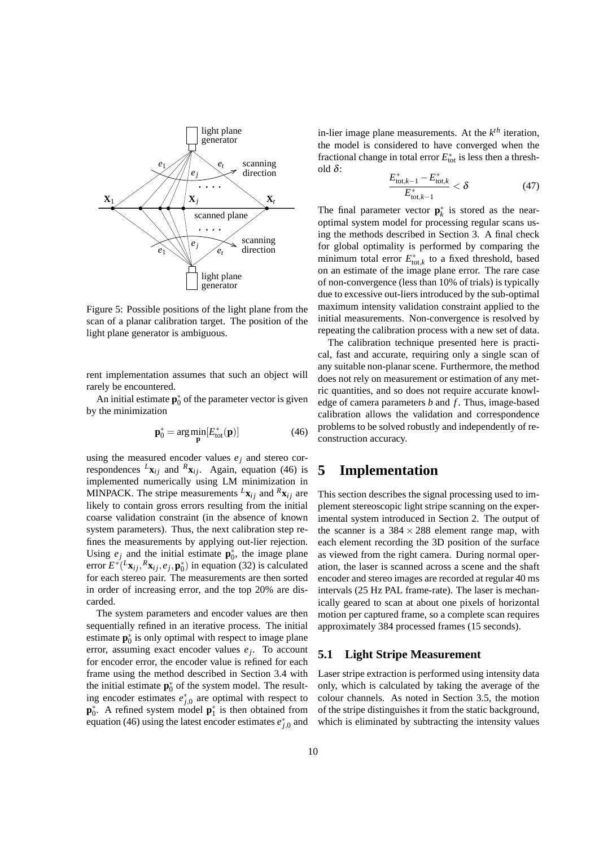

Figure 5: Possible positions of the light plane from the scan of a planar calibration target. The position of the light plane generator is ambiguous.

rent implementation assumes that such an object will rarely be encountered.

An initial estimate  $\mathbf{p}_0^*$  of the parameter vector is given by the minimization

$$
\mathbf{p}_0^* = \arg\min_{\mathbf{p}} [E_{\text{tot}}^*(\mathbf{p})] \tag{46}
$$

using the measured encoder values  $e_i$  and stereo correspondences  $L_{\mathbf{X}_{ij}}$  and  $R_{\mathbf{X}_{ij}}$ . Again, equation (46) is implemented numerically using LM minimization in MINPACK. The stripe measurements  $L_{\mathbf{X}_{ij}}$  and  $R_{\mathbf{X}_{ij}}$  are likely to contain gross errors resulting from the initial coarse validation constraint (in the absence of known system parameters). Thus, the next calibration step refines the measurements by applying out-lier rejection. Using  $e_j$  and the initial estimate  $\mathbf{p}_0^*$ , the image plane error  $E^*(L_{\mathbf{X}_{ij}}, R_{\mathbf{X}_{ij}}, e_j, \mathbf{p}_0^*)$  in equation (32) is calculated for each stereo pair. The measurements are then sorted in order of increasing error, and the top 20% are discarded.

The system parameters and encoder values are then sequentially refined in an iterative process. The initial estimate  $\mathbf{p}_0^*$  is only optimal with respect to image plane error, assuming exact encoder values *e<sup>j</sup>* . To account for encoder error, the encoder value is refined for each frame using the method described in Section 3.4 with the initial estimate  $\mathbf{p}_0^*$  of the system model. The resulting encoder estimates  $e_{j,0}^*$  are optimal with respect to  $\mathbf{p}_0^*$ . A refined system model  $\mathbf{p}_1^*$  is then obtained from equation (46) using the latest encoder estimates  $e_{j,0}^*$  and

in-lier image plane measurements. At the *k th* iteration, the model is considered to have converged when the fractional change in total error  $E_{\text{tot}}^*$  is less then a threshold  $\delta$ :

$$
\frac{E_{\text{tot},k-1}^* - E_{\text{tot},k}^*}{E_{\text{tot},k-1}^*} < \delta \tag{47}
$$

The final parameter vector  $\mathbf{p}_k^*$  is stored as the nearoptimal system model for processing regular scans using the methods described in Section 3. A final check for global optimality is performed by comparing the minimum total error  $E^*_{\text{tot},k}$  to a fixed threshold, based on an estimate of the image plane error. The rare case of non-convergence (less than 10% of trials) is typically due to excessive out-liers introduced by the sub-optimal maximum intensity validation constraint applied to the initial measurements. Non-convergence is resolved by repeating the calibration process with a new set of data.

The calibration technique presented here is practical, fast and accurate, requiring only a single scan of any suitable non-planar scene. Furthermore, the method does not rely on measurement or estimation of any metric quantities, and so does not require accurate knowledge of camera parameters *b* and *f* . Thus, image-based calibration allows the validation and correspondence problems to be solved robustly and independently of reconstruction accuracy.

### **5 Implementation**

This section describes the signal processing used to implement stereoscopic light stripe scanning on the experimental system introduced in Section 2. The output of the scanner is a  $384 \times 288$  element range map, with each element recording the 3D position of the surface as viewed from the right camera. During normal operation, the laser is scanned across a scene and the shaft encoder and stereo images are recorded at regular 40 ms intervals (25 Hz PAL frame-rate). The laser is mechanically geared to scan at about one pixels of horizontal motion per captured frame, so a complete scan requires approximately 384 processed frames (15 seconds).

### **5.1 Light Stripe Measurement**

Laser stripe extraction is performed using intensity data only, which is calculated by taking the average of the colour channels. As noted in Section 3.5, the motion of the stripe distinguishes it from the static background, which is eliminated by subtracting the intensity values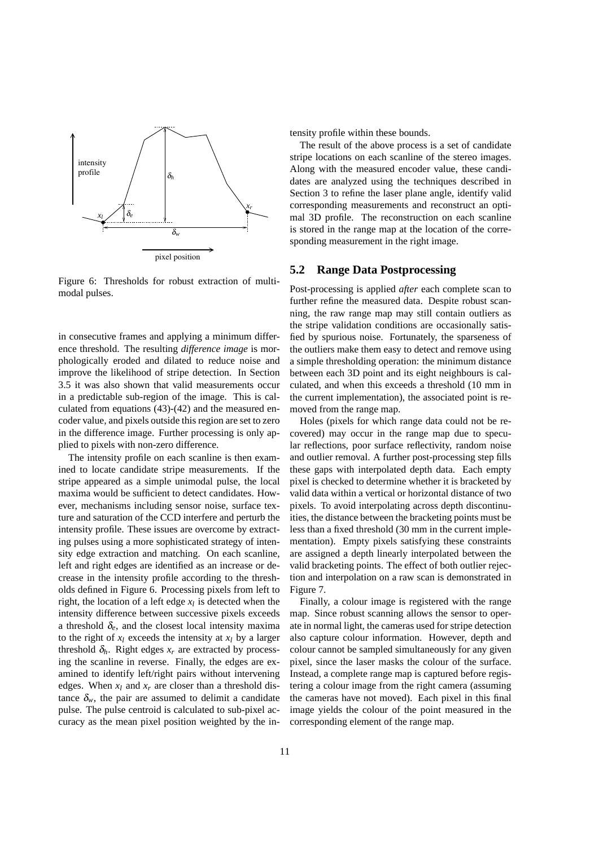

Figure 6: Thresholds for robust extraction of multimodal pulses.

in consecutive frames and applying a minimum difference threshold. The resulting *difference image* is morphologically eroded and dilated to reduce noise and improve the likelihood of stripe detection. In Section 3.5 it was also shown that valid measurements occur in a predictable sub-region of the image. This is calculated from equations (43)-(42) and the measured encoder value, and pixels outside this region are set to zero in the difference image. Further processing is only applied to pixels with non-zero difference.

The intensity profile on each scanline is then examined to locate candidate stripe measurements. If the stripe appeared as a simple unimodal pulse, the local maxima would be sufficient to detect candidates. However, mechanisms including sensor noise, surface texture and saturation of the CCD interfere and perturb the intensity profile. These issues are overcome by extracting pulses using a more sophisticated strategy of intensity edge extraction and matching. On each scanline, left and right edges are identified as an increase or decrease in the intensity profile according to the thresholds defined in Figure 6. Processing pixels from left to right, the location of a left edge  $x_l$  is detected when the intensity difference between successive pixels exceeds a threshold  $\delta_e$ , and the closest local intensity maxima to the right of  $x_l$  exceeds the intensity at  $x_l$  by a larger threshold  $\delta_h$ . Right edges  $x_r$  are extracted by processing the scanline in reverse. Finally, the edges are examined to identify left/right pairs without intervening edges. When  $x_l$  and  $x_r$  are closer than a threshold distance  $\delta_w$ , the pair are assumed to delimit a candidate pulse. The pulse centroid is calculated to sub-pixel accuracy as the mean pixel position weighted by the intensity profile within these bounds.

The result of the above process is a set of candidate stripe locations on each scanline of the stereo images. Along with the measured encoder value, these candidates are analyzed using the techniques described in Section 3 to refine the laser plane angle, identify valid corresponding measurements and reconstruct an optimal 3D profile. The reconstruction on each scanline is stored in the range map at the location of the corresponding measurement in the right image.

#### **5.2 Range Data Postprocessing**

Post-processing is applied *after* each complete scan to further refine the measured data. Despite robust scanning, the raw range map may still contain outliers as the stripe validation conditions are occasionally satisfied by spurious noise. Fortunately, the sparseness of the outliers make them easy to detect and remove using a simple thresholding operation: the minimum distance between each 3D point and its eight neighbours is calculated, and when this exceeds a threshold (10 mm in the current implementation), the associated point is removed from the range map.

Holes (pixels for which range data could not be recovered) may occur in the range map due to specular reflections, poor surface reflectivity, random noise and outlier removal. A further post-processing step fills these gaps with interpolated depth data. Each empty pixel is checked to determine whether it is bracketed by valid data within a vertical or horizontal distance of two pixels. To avoid interpolating across depth discontinuities, the distance between the bracketing points must be less than a fixed threshold (30 mm in the current implementation). Empty pixels satisfying these constraints are assigned a depth linearly interpolated between the valid bracketing points. The effect of both outlier rejection and interpolation on a raw scan is demonstrated in Figure 7.

Finally, a colour image is registered with the range map. Since robust scanning allows the sensor to operate in normal light, the cameras used for stripe detection also capture colour information. However, depth and colour cannot be sampled simultaneously for any given pixel, since the laser masks the colour of the surface. Instead, a complete range map is captured before registering a colour image from the right camera (assuming the cameras have not moved). Each pixel in this final image yields the colour of the point measured in the corresponding element of the range map.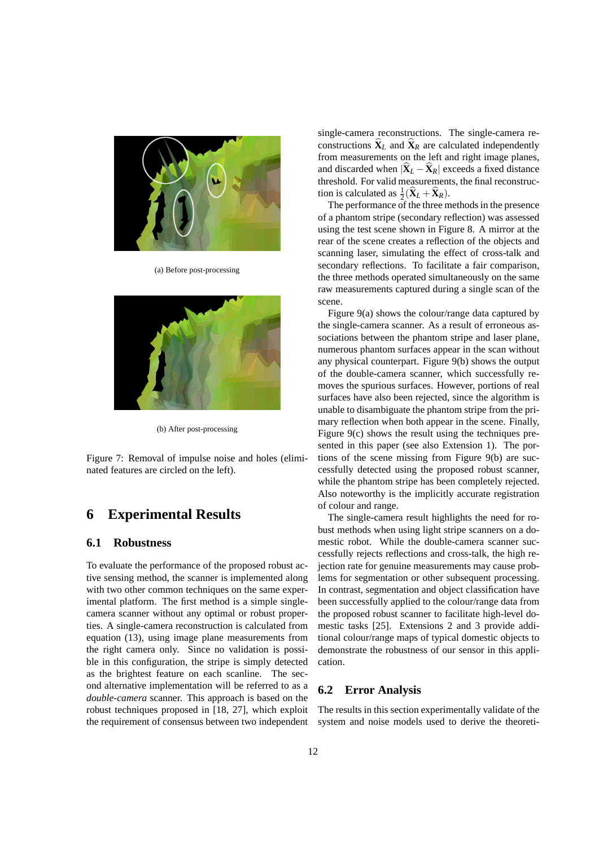

(a) Before post-processing



(b) After post-processing

Figure 7: Removal of impulse noise and holes (eliminated features are circled on the left).

# **6 Experimental Results**

### **6.1 Robustness**

To evaluate the performance of the proposed robust active sensing method, the scanner is implemented along with two other common techniques on the same experimental platform. The first method is a simple singlecamera scanner without any optimal or robust properties. A single-camera reconstruction is calculated from equation (13), using image plane measurements from the right camera only. Since no validation is possible in this configuration, the stripe is simply detected as the brightest feature on each scanline. The second alternative implementation will be referred to as a *double-camera* scanner. This approach is based on the robust techniques proposed in [18, 27], which exploit the requirement of consensus between two independent single-camera reconstructions. The single-camera reconstructions  $\hat{\mathbf{X}}_L$  and  $\hat{\mathbf{X}}_R$  are calculated independently from measurements on the left and right image planes, and discarded when  $|\hat{\mathbf{X}}_L - \hat{\mathbf{X}}_R|$  exceeds a fixed distance threshold. For valid measurements, the final reconstruction is calculated as  $\frac{1}{2}(\hat{\mathbf{X}}_L + \hat{\mathbf{X}}_R)$ .

The performance of the three methods in the presence of a phantom stripe (secondary reflection) was assessed using the test scene shown in Figure 8. A mirror at the rear of the scene creates a reflection of the objects and scanning laser, simulating the effect of cross-talk and secondary reflections. To facilitate a fair comparison, the three methods operated simultaneously on the same raw measurements captured during a single scan of the scene.

Figure 9(a) shows the colour/range data captured by the single-camera scanner. As a result of erroneous associations between the phantom stripe and laser plane, numerous phantom surfaces appear in the scan without any physical counterpart. Figure 9(b) shows the output of the double-camera scanner, which successfully removes the spurious surfaces. However, portions of real surfaces have also been rejected, since the algorithm is unable to disambiguate the phantom stripe from the primary reflection when both appear in the scene. Finally, Figure 9(c) shows the result using the techniques presented in this paper (see also Extension 1). The portions of the scene missing from Figure 9(b) are successfully detected using the proposed robust scanner, while the phantom stripe has been completely rejected. Also noteworthy is the implicitly accurate registration of colour and range.

The single-camera result highlights the need for robust methods when using light stripe scanners on a domestic robot. While the double-camera scanner successfully rejects reflections and cross-talk, the high rejection rate for genuine measurements may cause problems for segmentation or other subsequent processing. In contrast, segmentation and object classification have been successfully applied to the colour/range data from the proposed robust scanner to facilitate high-level domestic tasks [25]. Extensions 2 and 3 provide additional colour/range maps of typical domestic objects to demonstrate the robustness of our sensor in this application.

### **6.2 Error Analysis**

The results in this section experimentally validate of the system and noise models used to derive the theoreti-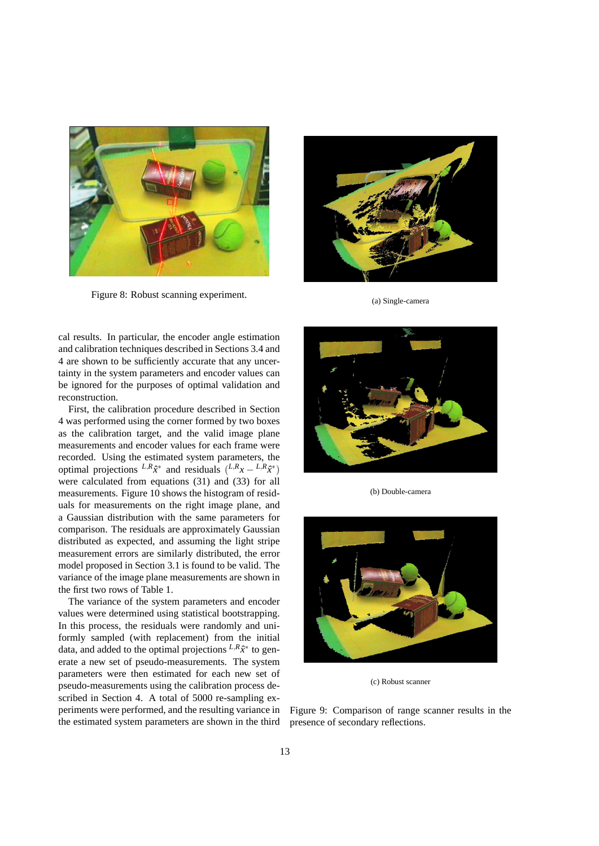

Figure 8: Robust scanning experiment.

cal results. In particular, the encoder angle estimation and calibration techniques described in Sections 3.4 and 4 are shown to be sufficiently accurate that any uncertainty in the system parameters and encoder values can be ignored for the purposes of optimal validation and reconstruction.

First, the calibration procedure described in Section 4 was performed using the corner formed by two boxes as the calibration target, and the valid image plane measurements and encoder values for each frame were recorded. Using the estimated system parameters, the optimal projections  $L, R\hat{x}^*$  and residuals  $(L, R\hat{x} - L, R\hat{x}^*)$ were calculated from equations (31) and (33) for all measurements. Figure 10 shows the histogram of residuals for measurements on the right image plane, and a Gaussian distribution with the same parameters for comparison. The residuals are approximately Gaussian distributed as expected, and assuming the light stripe measurement errors are similarly distributed, the error model proposed in Section 3.1 is found to be valid. The variance of the image plane measurements are shown in the first two rows of Table 1.

The variance of the system parameters and encoder values were determined using statistical bootstrapping. In this process, the residuals were randomly and uniformly sampled (with replacement) from the initial data, and added to the optimal projections  $L, R\hat{\chi}^*$  to generate a new set of pseudo-measurements. The system parameters were then estimated for each new set of pseudo-measurements using the calibration process described in Section 4. A total of 5000 re-sampling experiments were performed, and the resulting variance in the estimated system parameters are shown in the third



(a) Single-camera



(b) Double-camera



(c) Robust scanner

Figure 9: Comparison of range scanner results in the presence of secondary reflections.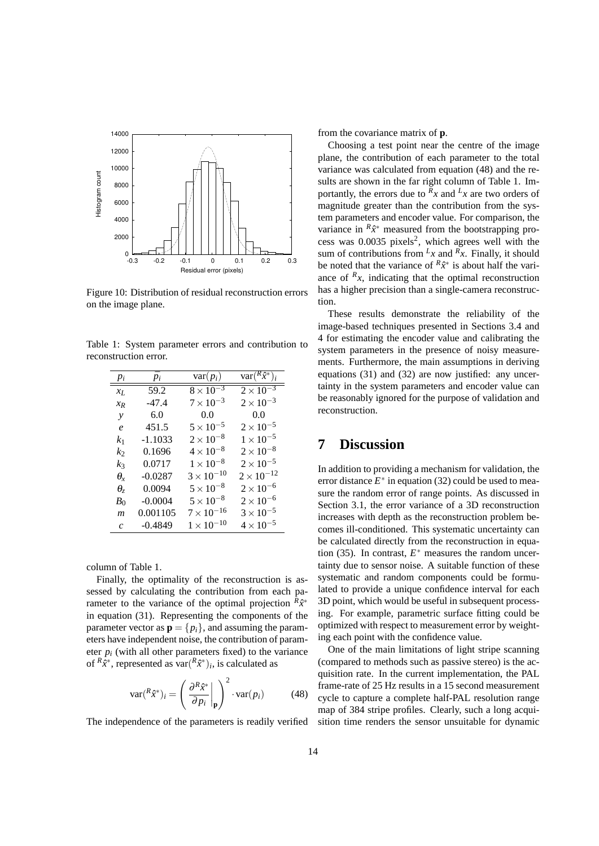

Figure 10: Distribution of residual reconstruction errors on the image plane.

Table 1: System parameter errors and contribution to reconstruction error.

| $p_i$            | $p_i$     | $var(p_i)$                    | $\text{var}(\binom{k}{x^*})_i$ |
|------------------|-----------|-------------------------------|--------------------------------|
| $x_L$            | 59.2      | $8 \times \overline{10^{-3}}$ | $2 \times \sqrt{10^{-3}}$      |
| $x_R$            | $-47.4$   | $7 \times 10^{-3}$            | $2 \times 10^{-3}$             |
| $\mathcal{Y}$    | 6.0       | 0.0                           | 0.0                            |
| $\boldsymbol{e}$ | 451.5     | $5 \times 10^{-5}$            | $2 \times 10^{-5}$             |
| k <sub>1</sub>   | $-1.1033$ | $2 \times 10^{-8}$            | $1 \times 10^{-5}$             |
| $k_2$            | 0.1696    | $4 \times 10^{-8}$            | $2 \times 10^{-8}$             |
| $k_3$            | 0.0717    | $1 \times 10^{-8}$            | $2 \times 10^{-5}$             |
| $\theta_{r}$     | $-0.0287$ | $3 \times 10^{-10}$           | $2 \times 10^{-12}$            |
| $\theta_z$       | 0.0094    | $5 \times 10^{-8}$            | $2 \times 10^{-6}$             |
| $B_0$            | $-0.0004$ | $5 \times 10^{-8}$            | $2 \times 10^{-6}$             |
| m                | 0.001105  | $7 \times 10^{-16}$           | $3 \times 10^{-5}$             |
| $\mathcal{C}$    | $-0.4849$ | $1 \times 10^{-10}$           | $4 \times 10^{-5}$             |

column of Table 1.

Finally, the optimality of the reconstruction is assessed by calculating the contribution from each parameter to the variance of the optimal projection  ${}^R \hat{x}^*$ in equation (31). Representing the components of the parameter vector as  $\mathbf{p} = \{p_i\}$ , and assuming the parameters have independent noise, the contribution of parameter  $p_i$  (with all other parameters fixed) to the variance of  ${}^R\hat{x}^*$ , represented as  $var({}^R\hat{x}^* )_i$ , is calculated as

$$
\text{var}(\mathbf{R}\hat{x}^*)_i = \left(\frac{\partial \mathbf{R}\hat{x}^*}{\partial p_i}\bigg|_{\mathbf{p}}\right)^2 \cdot \text{var}(p_i) \tag{48}
$$

The independence of the parameters is readily verified

from the covariance matrix of **p**.

Choosing a test point near the centre of the image plane, the contribution of each parameter to the total variance was calculated from equation (48) and the results are shown in the far right column of Table 1. Importantly, the errors due to  $^Rx$  and  $^Lx$  are two orders of magnitude greater than the contribution from the system parameters and encoder value. For comparison, the variance in  ${}^R{\hat{x}}^*$  measured from the bootstrapping process was  $0.0035$  pixels<sup>2</sup>, which agrees well with the sum of contributions from  $L_x$  and  $R_x$ . Finally, it should be noted that the variance of  ${}^R\hat{x}^*$  is about half the variance of  $^R x$ , indicating that the optimal reconstruction has a higher precision than a single-camera reconstruction.

These results demonstrate the reliability of the image-based techniques presented in Sections 3.4 and 4 for estimating the encoder value and calibrating the system parameters in the presence of noisy measurements. Furthermore, the main assumptions in deriving equations (31) and (32) are now justified: any uncertainty in the system parameters and encoder value can be reasonably ignored for the purpose of validation and reconstruction.

# **7 Discussion**

In addition to providing a mechanism for validation, the error distance  $E^*$  in equation (32) could be used to measure the random error of range points. As discussed in Section 3.1, the error variance of a 3D reconstruction increases with depth as the reconstruction problem becomes ill-conditioned. This systematic uncertainty can be calculated directly from the reconstruction in equation (35). In contrast,  $E^*$  measures the random uncertainty due to sensor noise. A suitable function of these systematic and random components could be formulated to provide a unique confidence interval for each 3D point, which would be useful in subsequent processing. For example, parametric surface fitting could be optimized with respect to measurement error by weighting each point with the confidence value.

One of the main limitations of light stripe scanning (compared to methods such as passive stereo) is the acquisition rate. In the current implementation, the PAL frame-rate of 25 Hz results in a 15 second measurement cycle to capture a complete half-PAL resolution range map of 384 stripe profiles. Clearly, such a long acquisition time renders the sensor unsuitable for dynamic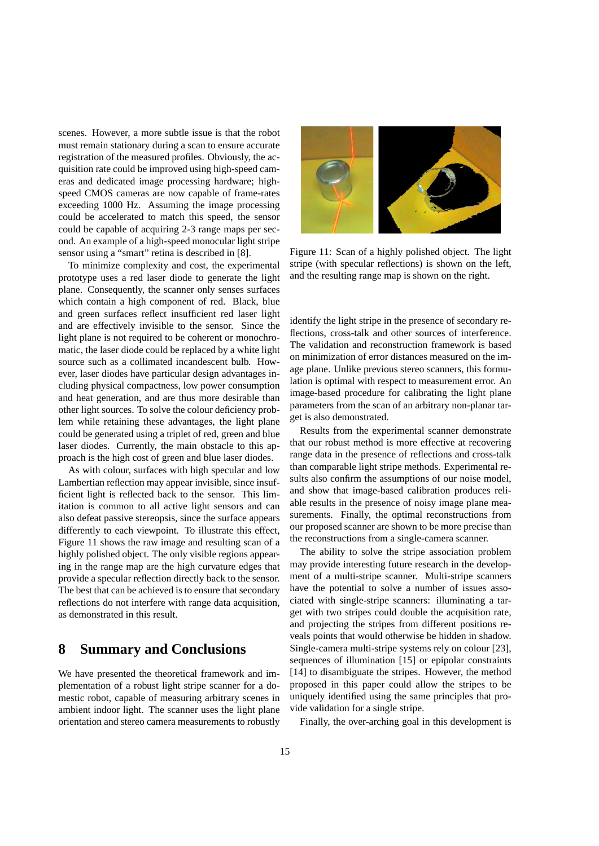scenes. However, a more subtle issue is that the robot must remain stationary during a scan to ensure accurate registration of the measured profiles. Obviously, the acquisition rate could be improved using high-speed cameras and dedicated image processing hardware; highspeed CMOS cameras are now capable of frame-rates exceeding 1000 Hz. Assuming the image processing could be accelerated to match this speed, the sensor could be capable of acquiring 2-3 range maps per second. An example of a high-speed monocular light stripe sensor using a "smart" retina is described in [8].

To minimize complexity and cost, the experimental prototype uses a red laser diode to generate the light plane. Consequently, the scanner only senses surfaces which contain a high component of red. Black, blue and green surfaces reflect insufficient red laser light and are effectively invisible to the sensor. Since the light plane is not required to be coherent or monochromatic, the laser diode could be replaced by a white light source such as a collimated incandescent bulb. However, laser diodes have particular design advantages including physical compactness, low power consumption and heat generation, and are thus more desirable than other light sources. To solve the colour deficiency problem while retaining these advantages, the light plane could be generated using a triplet of red, green and blue laser diodes. Currently, the main obstacle to this approach is the high cost of green and blue laser diodes.

As with colour, surfaces with high specular and low Lambertian reflection may appear invisible, since insufficient light is reflected back to the sensor. This limitation is common to all active light sensors and can also defeat passive stereopsis, since the surface appears differently to each viewpoint. To illustrate this effect, Figure 11 shows the raw image and resulting scan of a highly polished object. The only visible regions appearing in the range map are the high curvature edges that provide a specular reflection directly back to the sensor. The best that can be achieved is to ensure that secondary reflections do not interfere with range data acquisition, as demonstrated in this result.

### **8 Summary and Conclusions**

We have presented the theoretical framework and implementation of a robust light stripe scanner for a domestic robot, capable of measuring arbitrary scenes in ambient indoor light. The scanner uses the light plane orientation and stereo camera measurements to robustly



Figure 11: Scan of a highly polished object. The light stripe (with specular reflections) is shown on the left, and the resulting range map is shown on the right.

identify the light stripe in the presence of secondary reflections, cross-talk and other sources of interference. The validation and reconstruction framework is based on minimization of error distances measured on the image plane. Unlike previous stereo scanners, this formulation is optimal with respect to measurement error. An image-based procedure for calibrating the light plane parameters from the scan of an arbitrary non-planar target is also demonstrated.

Results from the experimental scanner demonstrate that our robust method is more effective at recovering range data in the presence of reflections and cross-talk than comparable light stripe methods. Experimental results also confirm the assumptions of our noise model, and show that image-based calibration produces reliable results in the presence of noisy image plane measurements. Finally, the optimal reconstructions from our proposed scanner are shown to be more precise than the reconstructions from a single-camera scanner.

The ability to solve the stripe association problem may provide interesting future research in the development of a multi-stripe scanner. Multi-stripe scanners have the potential to solve a number of issues associated with single-stripe scanners: illuminating a target with two stripes could double the acquisition rate, and projecting the stripes from different positions reveals points that would otherwise be hidden in shadow. Single-camera multi-stripe systems rely on colour [23], sequences of illumination [15] or epipolar constraints [14] to disambiguate the stripes. However, the method proposed in this paper could allow the stripes to be uniquely identified using the same principles that provide validation for a single stripe.

Finally, the over-arching goal in this development is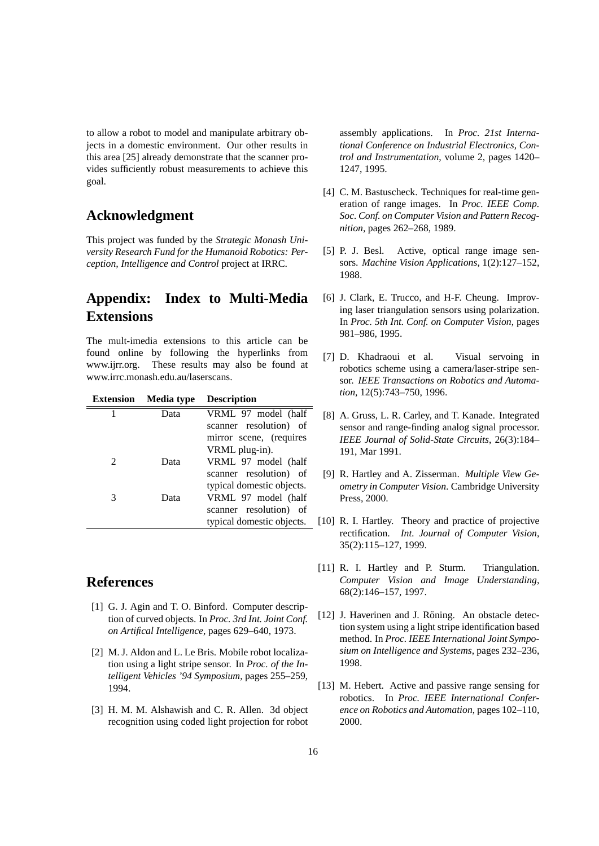to allow a robot to model and manipulate arbitrary objects in a domestic environment. Our other results in this area [25] already demonstrate that the scanner provides sufficiently robust measurements to achieve this goal.

# **Acknowledgment**

This project was funded by the *Strategic Monash University Research Fund for the Humanoid Robotics: Perception, Intelligence and Control* project at IRRC.

# **Appendix: Index to Multi-Media Extensions**

The mult-imedia extensions to this article can be found online by following the hyperlinks from www.ijrr.org. These results may also be found at www.irrc.monash.edu.au/laserscans.

| <b>Extension</b>            | <b>Media type</b> | <b>Description</b>        |
|-----------------------------|-------------------|---------------------------|
|                             | Data              | VRML 97 model (half       |
|                             |                   | scanner resolution) of    |
|                             |                   | mirror scene, (requires   |
|                             |                   | VRML plug-in).            |
| $\mathcal{D}_{\mathcal{A}}$ | Data              | VRML 97 model (half       |
|                             |                   | scanner resolution) of    |
|                             |                   | typical domestic objects. |
| 3                           | Data              | VRML 97 model (half       |
|                             |                   | scanner resolution) of    |
|                             |                   | typical domestic objects. |

# **References**

- [1] G. J. Agin and T. O. Binford. Computer description of curved objects. In *Proc. 3rd Int. Joint Conf. on Artifical Intelligence*, pages 629–640, 1973.
- [2] M. J. Aldon and L. Le Bris. Mobile robot localization using a light stripe sensor. In *Proc. of the Intelligent Vehicles '94 Symposium*, pages 255–259, 1994.
- [3] H. M. M. Alshawish and C. R. Allen. 3d object recognition using coded light projection for robot

assembly applications. In *Proc. 21st International Conference on Industrial Electronics, Control and Instrumentation*, volume 2, pages 1420– 1247, 1995.

- [4] C. M. Bastuscheck. Techniques for real-time generation of range images. In *Proc. IEEE Comp. Soc. Conf. on Computer Vision and Pattern Recognition*, pages 262–268, 1989.
- [5] P. J. Besl. Active, optical range image sensors. *Machine Vision Applications*, 1(2):127–152, 1988.
- [6] J. Clark, E. Trucco, and H-F. Cheung. Improving laser triangulation sensors using polarization. In *Proc. 5th Int. Conf. on Computer Vision*, pages 981–986, 1995.
- [7] D. Khadraoui et al. Visual servoing in robotics scheme using a camera/laser-stripe sensor. *IEEE Transactions on Robotics and Automation*, 12(5):743–750, 1996.
- [8] A. Gruss, L. R. Carley, and T. Kanade. Integrated sensor and range-finding analog signal processor. *IEEE Journal of Solid-State Circuits*, 26(3):184– 191, Mar 1991.
- [9] R. Hartley and A. Zisserman. *Multiple View Geometry in Computer Vision*. Cambridge University Press, 2000.
- [10] R. I. Hartley. Theory and practice of projective rectification. *Int. Journal of Computer Vision*, 35(2):115–127, 1999.
- [11] R. I. Hartley and P. Sturm. Triangulation. *Computer Vision and Image Understanding*, 68(2):146–157, 1997.
- [12] J. Haverinen and J. Röning. An obstacle detection system using a light stripe identification based method. In *Proc. IEEE International Joint Symposium on Intelligence and Systems*, pages 232–236, 1998.
- [13] M. Hebert. Active and passive range sensing for robotics. In *Proc. IEEE International Conference on Robotics and Automation*, pages 102–110, 2000.